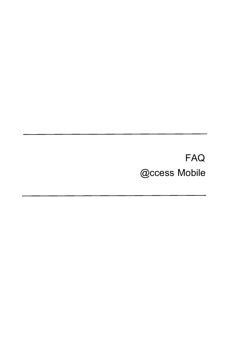# **FAQ @ccess Mobile**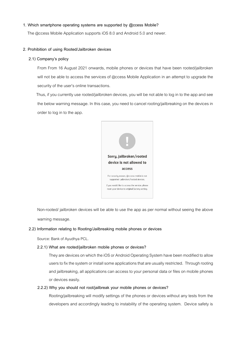# **1. Which smartphone operating systems are supported by @ccess Mobile?**

The @ccess Mobile Application supports iOS 8.0 and Android 5.0 and newer.

# **2. Prohibition of using Rooted/Jailbroken devices**

#### **2.1) Company's policy**

 From From 16 August 2021 onwards, mobile phones or devices that have been rooted/jailbroken will not be able to access the services of @ccess Mobile Application in an attempt to upgrade the security of the user's online transactions.

Thus, if you currently use rooted/jailbroken devices, you will be not able to log in to the app and see the below warning message. In this case, you need to cancel rooting/jailbreaking on the devices in order to log in to the app.



Non-rooted/ jailbroken devices will be able to use the app as per normal without seeing the above warning message.

# **2.2) Information relating to Rooting/Jailbreaking mobile phones or devices**

Source: Bank of Ayudhya PCL.

#### **2.2.1) What are rooted/jailbroken mobile phones or devices?**

They are devices on which the iOS or Android Operating System have been modified to allow users to fix the system or install some applications that are usually restricted. Through rooting and jailbreaking, all applications can access to your personal data or files on mobile phones or devices easily.

# **2.2.2) Why you should not root/jailbreak your mobile phones or devices?**

Rooting/jailbreaking will modify settings of the phones or devices without any tests from the developers and accordingly leading to instability of the operating system. Device safety is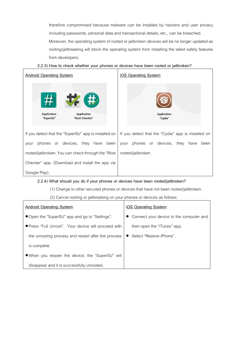therefore compromised because malware can be installed by hackers and user privacy including passwords, personal data and transactional details, etc., can be breached.

Moreover, the operating system of rooted or jailbroken devices will be no longer updated as rooting/jailbreaking will block the operating system from installing the latest safety features from developers.

# **2.2.3) How to check whether your phones or devices have been rooted or jailbroken?**



# **2.2.4) What should you do if your phones or devices have been rooted/jailbroken?**

(1) Change to other secured phones or devices that have not been rooted/jailbroken.

(2) Cancel rooting or jailbreaking on your phones or devices as follows:

| <b>Android Operating System</b>                      | <u>iOS Operating System</u>               |  |  |
|------------------------------------------------------|-------------------------------------------|--|--|
| • Open the "SuperSU" app and go to "Settings".       | • Connect your device to the computer and |  |  |
| ● Press "Full Unroot". Your device will proceed with | then open the "iTunes" app.               |  |  |
| the unrooting process and restart after the process  | Select "Restore iPhone".                  |  |  |
| is complete.                                         |                                           |  |  |
| • When you reopen the device, the "SuperSU" will     |                                           |  |  |
| disappear and it is successfully unrooted.           |                                           |  |  |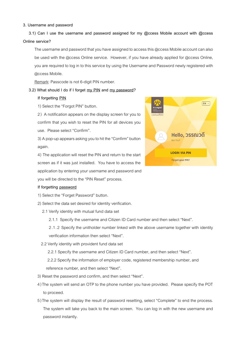#### **3. Username and password**

**3.1) Can I use the username and password assigned for my @ccess Mobile account with @ccess Online service?**

The username and password that you have assigned to access this @ccess Mobile account can also be used with the @ccess Online service. However, if you have already applied for @ccess Online, you are required to log in to this service by using the Username and Password newly registered with @ccess Mobile.

Remark: Passcode is not 6-digit PIN number.

#### **3.2) What should I do if I forget my PIN and my password?**

#### **If forgetting PIN**

1) Select the "Forgot PIN" button.

2) A notification appears on the display screen for you to confirm that you wish to reset the PIN for all devices you use. Please select "Confirm".

3) A pop-up appears asking you to hit the "Confirm" button again.

4) The application will reset the PIN and return to the start screen as if it was just installed. You have to access the application by entering your username and password and you will be directed to the "PIN Reset" process.

#### **If forgetting password**

1) Select the "Forget Password" button.

- 2) Select the data set desired for identity verification.
	- 2.1 Verify identity with mutual fund data set
		- 2.1.1 Specify the username and Citizen ID Card number and then select "Next".

2.1.2 Specify the unitholder number linked with the above username together with identity verification information then select "Next".

2.2 Verify identity with provident fund data set

2.2.1 Specify the username and Citizen ID Card number, and then select "Next".

 2.2.2 Specify the information of employer code, registered membership number, and reference number, and then select "Next".

- 3) Reset the password and confirm, and then select "Next".
- 4 )The system will send an OTP to the phone number you have provided. Please specify the POT to proceed.
- 5 )The system will display the result of password resetting, select "Complete" to end the process. The system will take you back to the main screen. You can log in with the new username and password instantly.

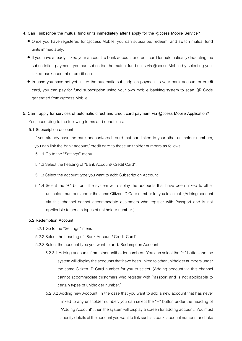### **4. Can I subscribe the mutual fund units immediately after I apply for the @ccess Mobile Service?**

- Once you have registered for @ccess Mobile, you can subscribe, redeem, and switch mutual fund units immediately.
- If you have already linked your account to bank account or credit card for automatically deducting the subscription payment, you can subscribe the mutual fund units via @ccess Mobile by selecting your linked bank account or credit card.
- In case you have not yet linked the automatic subscription payment to your bank account or credit card, you can pay for fund subscription using your own mobile banking system to scan QR Code generated from @ccess Mobile.
- **5. Can I apply for services of automatic direct and credit card payment via @ccess Mobile Application?** Yes, according to the following terms and conditions:
	- **5.1 Subscription account**

If you already have the bank account/credit card that had linked to your other unitholder numbers, you can link the bank account/ credit card to those unitholder numbers as follows:

- 5.1.1 Go to the "Settings" menu.
- 5.1.2 Select the heading of "Bank Account/ Credit Card".
- 5.1.3 Select the account type you want to add: Subscription Account
- 5.1.4 Select the **"+"** button. The system will display the accounts that have been linked to other unitholder numbers under the same Citizen ID Card number for you to select. (Adding account via this channel cannot accommodate customers who register with Passport and is not applicable to certain types of unitholder number.)

#### **5.2 Redemption Account**

- 5.2.1 Go to the "Settings" menu.
- 5.2.2 Select the heading of "Bank Account/ Credit Card".
- 5.2.3 Select the account type you want to add: Redemption Account
	- 5.2.3.1 Adding accounts from other unitholder numbers: You can select the "+" button and the system will display the accounts that have been linked to other unitholder numbers under the same Citizen ID Card number for you to select. (Adding account via this channel cannot accommodate customers who register with Passport and is not applicable to certain types of unitholder number.)
	- 5.2.3.2 Adding new Account: In the case that you want to add a new account that has never linked to any unitholder number, you can select the "+" button under the heading of "Adding Account", then the system will display a screen for adding account. You must specify details of the account you want to link such as bank, account number, and take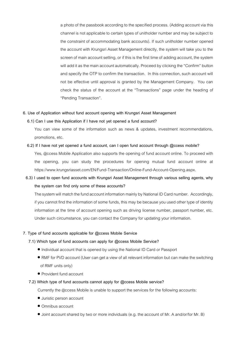a photo of the passbook according to the specified process. (Adding account via this channel is not applicable to certain types of unitholder number and may be subject to the constraint of accommodating bank accounts). If such unitholder number opened the account with Krungsri Asset Management directly, the system will take you to the screen of main account setting, or if this is the first time of adding account, the system will add it as the main account automatically. Proceed by clicking the "Confirm" button and specify the OTP to confirm the transaction. In this connection, such account will not be effective until approval is granted by the Management Company. You can check the status of the account at the "Transactions" page under the heading of "Pending Transaction".

#### **6. Use of Application without fund account opening with Krungsri Asset Management**

#### **6.1) Can I use this Application if I have not yet opened a fund account?**

You can view some of the information such as news & updates, investment recommendations, promotions, etc.

#### **6.2) If I have not yet opened a fund account, can I open fund account through @ccess mobile?**

Yes, @ccess Mobile Application also supports the opening of fund account online. To proceed with the opening, you can study the procedures for opening mutual fund account online at https://www.krungsriasset.com/EN/Fund-Transaction/Online-Fund-Account-Opening.aspx.

# **6.3) I used to open fund accounts with Krungsri Asset Management through various selling agents, why the system can find only some of these accounts?**

The system will match the fund account information mainly by National ID Card number. Accordingly, if you cannot find the information of some funds, this may be because you used other type of identity information at the time of account opening such as driving license number, passport number, etc. Under such circumstance, you can contact the Company for updating your information.

#### **7. Type of fund accounts applicable for @ccess Mobile Service**

#### **7.1) Which type of fund accounts can apply for @ccess Mobile Service?**

- Individual account that is opened by using the National ID Card or Passport
- RMF for PVD account (User can get a view of all relevant information but can make the switching of RMF units only)
- Provident fund account

#### **7.2) Which type of fund accounts cannot apply for @ccess Mobile service?**

Currently the @ccess Mobile is unable to support the services for the following accounts:

- Juristic person account
- Omnibus account
- Joint account shared by two or more individuals (e.g. the account of Mr. A and/or/for Mr. B)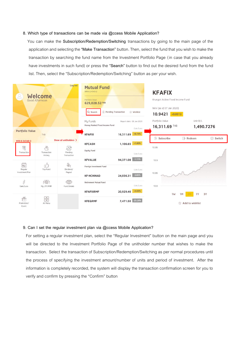#### **8. Which type of transactions can be made via @ccess Mobile Application?**

 You can make the **Subscription/Redemption/Switching** transactions by going to the main page of the application and selecting the **"Make Transaction"** button. Then, select the fund that you wish to make the transaction by searching the fund name from the Investment Portfolio Page (in case that you already have investments in such fund) or press the **"Search"** button to find out the desired fund from the fund list. Then, select the "Subscription/Redemption/Switching" button as per your wish.



#### **9. Can I set the regular investment plan via @ccess Mobile Application?**

For setting a regular investment plan, select the "Regular Investment" button on the main page and you will be directed to the Investment Portfolio Page of the unitholder number that wishes to make the transaction. Select the transaction of Subscription/Redemption/Switching as per normal procedures until the process of specifying the investment amount/number of units and period of investment. After the information is completely recorded, the system will display the transaction confirmation screen for you to verify and confirm by pressing the "Confirm" button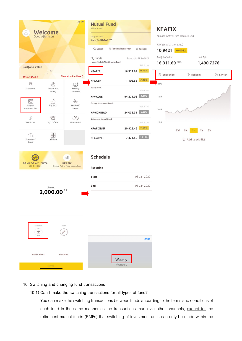| <b>Portfolio Value</b>                                                                                                                                                                                                                                                                                                                                                                                                           | <b>Welcome</b><br>Good Afternoon                           | Log out                                                                                   | <b>Mutual Fund</b><br>999-0-24340-2<br>Portfolio Value<br>629,028.52 THB<br>Q Search<br><sup>合</sup> Pending Transaction<br>My Funds<br>Money Market/Fixed Income Fund | ☆ Wishlist<br>Report date: 08 Jan 2020<br>Gain/Loss                             | <b>KFAFIX</b><br>Krungsri Active Fixed Income Fund<br>NAV (as of 07 Jan 2020)<br>$10.9421 + 0.0012$<br>Portfolio Value<br>16,311.69 THB | Unit B/L<br>1,490.7276              |                 |
|----------------------------------------------------------------------------------------------------------------------------------------------------------------------------------------------------------------------------------------------------------------------------------------------------------------------------------------------------------------------------------------------------------------------------------|------------------------------------------------------------|-------------------------------------------------------------------------------------------|------------------------------------------------------------------------------------------------------------------------------------------------------------------------|---------------------------------------------------------------------------------|-----------------------------------------------------------------------------------------------------------------------------------------|-------------------------------------|-----------------|
|                                                                                                                                                                                                                                                                                                                                                                                                                                  | THB                                                        | Show all unitholders >                                                                    | <b>KFAFIX</b>                                                                                                                                                          | $+8.74%$<br>16,311.69                                                           | $\leftarrow$ Subscribe                                                                                                                  | $\rightarrow$ Redeem                | <b>⊜</b> Switch |
| 999-0-24340-2<br>$\mathbb{Z}$<br>Transaction<br>$\frac{e-e}{p \tan}$<br>Regular                                                                                                                                                                                                                                                                                                                                                  | $\frac{10}{2}$<br>Transaction<br>History<br>d3<br>Top Fund | $\mathbb{S}$<br>Pending<br>Transaction<br>$\overset{\circ\circ}{\mathbb{R}}$<br>Dividend/ | <b>KFCASH</b><br><b>Equity Fund</b><br><b>KFVALUE</b><br>Foreign Investment Fund                                                                                       | $+1.80%$<br>1,106.65<br>Gain/Loss<br>$-1.11%$<br>94,371.08<br>Gain/Loss         | 10.95<br>10.9                                                                                                                           |                                     |                 |
| Investment Plan<br>$\begin{picture}(120,140) \put(0,0){\line(1,0){15}} \put(0,0){\line(1,0){15}} \put(0,0){\line(1,0){15}} \put(0,0){\line(1,0){15}} \put(0,0){\line(1,0){15}} \put(0,0){\line(1,0){15}} \put(0,0){\line(1,0){15}} \put(0,0){\line(1,0){15}} \put(0,0){\line(1,0){15}} \put(0,0){\line(1,0){15}} \put(0,0){\line(1,0){15}} \put(0,0){\line(1,0){15}} \put($<br>Gain/Loss<br>$\stackrel{\ll}{\Box}$<br>Promotion/ | $\sqrt{\frac{2}{TAX}}$<br>My LTF/RMF<br>昍<br>All Menu      | Payout<br>$\circledcirc$<br><b>Fund Details</b>                                           | <b>KF-HCHINAD</b><br><b>Retirement Mutual Fund</b><br><b>KFAFIXRMF</b><br><b>KFEQRMF</b>                                                                               | $-3.85%$<br>24,036.31<br>Gain/Loss<br>$+4.65%$<br>20,929.46<br>7,471.50 -25.28% | 10.85<br>10.8<br>1 <sub>W</sub>                                                                                                         | 3Y<br>1Y<br>1M<br>☆ Add to wishlist |                 |
| Event<br><b>BANK OF AYUDHYA</b><br>285-1-34835-2                                                                                                                                                                                                                                                                                                                                                                                 |                                                            | $\underline{\text{m}}$<br><b>KFAFIX</b><br>Krungsri Active Fixed Income Fund              | <b>Schedule</b><br><b>Recurring</b><br><b>Start</b>                                                                                                                    | $\,>$<br>08 Jan 2020                                                            |                                                                                                                                         |                                     |                 |
| Amount<br>THB<br>2,000.00                                                                                                                                                                                                                                                                                                                                                                                                        |                                                            | End                                                                                       | 08 Jan 2020                                                                                                                                                            |                                                                                 |                                                                                                                                         |                                     |                 |
| Schedule<br>岗                                                                                                                                                                                                                                                                                                                                                                                                                    |                                                            | Note<br>$\mathscr{D}$                                                                     |                                                                                                                                                                        | <b>Done</b>                                                                     |                                                                                                                                         |                                     |                 |
| <b>Please Select</b>                                                                                                                                                                                                                                                                                                                                                                                                             | NEYT                                                       | <b>Add Note</b>                                                                           | Weekly<br>Monthly                                                                                                                                                      |                                                                                 |                                                                                                                                         |                                     |                 |

# **10. Switching and changing fund transactions**

# **10.1) Can I make the switching transactions for all types of fund?**

You can make the switching transactions between funds according to the terms and conditions of each fund in the same manner as the transactions made via other channels, except for the retirement mutual funds (RMFs) that switching of investment units can only be made within the